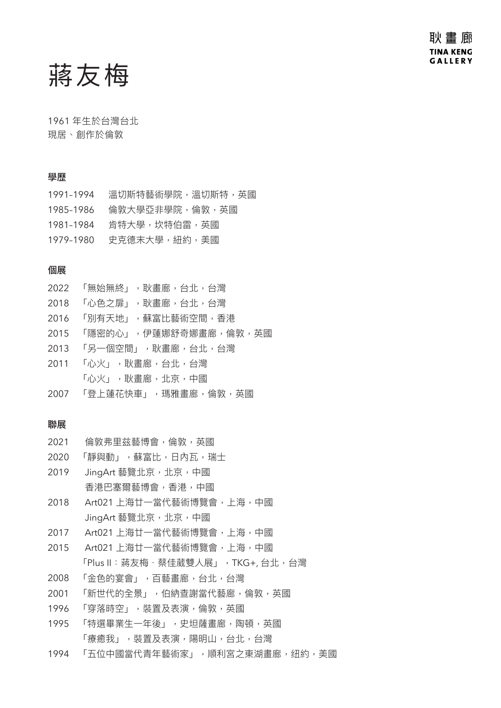蔣友梅

1961 年生於台灣台北 現居、創作於倫敦

### 學歷

1991-1994 溫切斯特藝術學院,溫切斯特,英國 1985–1986 倫敦大學亞非學院,倫敦,英國 1981–1984 肯特大學,坎特伯雷,英國 1979–1980 史克德末大學,紐約,美國

### 個展

| 2022 「無始無終」,耿畫廊,台北,台灣      |
|----------------------------|
| 2018 「心色之扉」,耿畫廊,台北,台灣      |
| 2016 「別有天地」,蘇富比藝術空間,香港     |
| 2015 「隱密的心」,伊蓮娜舒奇娜畫廊,倫敦,英國 |
| 2013 「另一個空間」,耿畫廊,台北,台灣     |
| 2011 「心火」,耿畫廊,台北,台灣        |
| 「心火」,耿畫廊,北京,中國             |
| 2007 「登上蓮花快車」,瑪雅畫廊,倫敦,英國   |

### 聯展

- 2021 倫敦弗里兹藝博會,倫敦,英國
- 2020 「靜與動」,蘇富比,日內瓦,瑞士
- 2019 JingArt 藝覽北京,北京,中國 香港巴塞爾藝博會,香港,中國
- 2018 Art021 上海廿一當代藝術博覽會,上海,中國 JingArt 藝覽北京, 北京, 中國
- 2017 Art021 上海廿一當代藝術博覽會,上海,中國
- 2015 Art021 上海廿一當代藝術博覽會,上海,中國 「Plus II: 蔣友梅·蔡佳葳雙人展」, TKG+, 台北, 台灣
- 2008 「金色的宴會」,百藝畫廊,台北,台灣
- 2001 「新世代的全景」,伯納查謝當代藝廊,倫敦,英國
- 1996 「穿落時空」,裝置及表演,倫敦,英國
- 1995 「特選畢業牛一年後」,史坦薩書廊,陶頓,英國 「療癒我」,裝置及表演,陽明山,台北,台灣
- 1994 「五位中國當代青年藝術家」,順利宮之東湖畫廊,纽約,美國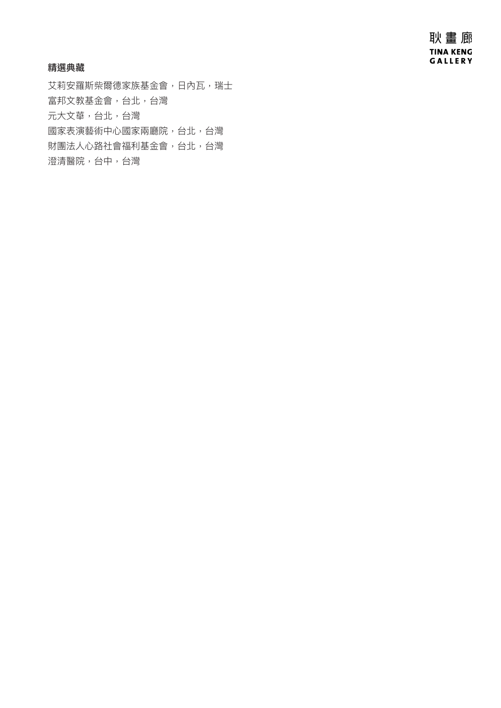耿畫廊 **TINA KENG** GALLERY

### 精選典藏

艾莉安羅斯柴爾德家族基金會,日內瓦,瑞士 富邦文教基金會,台北,台灣 元大文華,台北,台灣 國家表演藝術中心國家兩廳院,台北,台灣 財團法人心路社會福利基金會,台北,台灣 澄清醫院,台中,台灣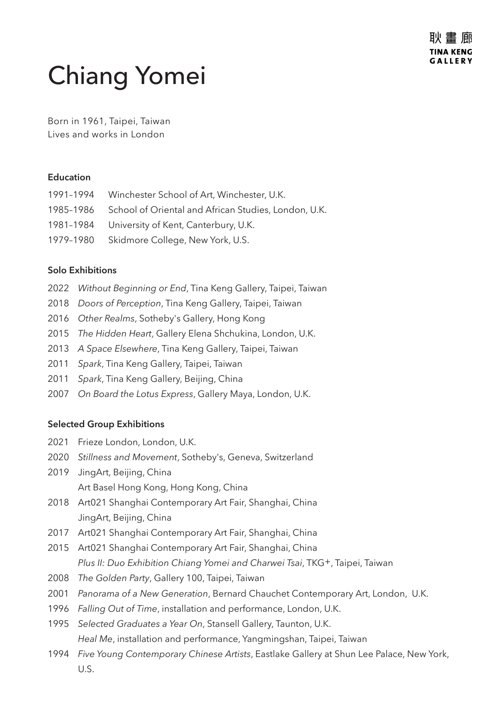# Chiang Yomei

Born in 1961, Taipei, Taiwan Lives and works in London

## **Education**

| 1991-1994 Winchester School of Art, Winchester, U.K.           |
|----------------------------------------------------------------|
| 1985-1986 School of Oriental and African Studies, London, U.K. |
| 1981-1984 University of Kent, Canterbury, U.K.                 |
| 1979-1980 Skidmore College, New York, U.S.                     |
|                                                                |

# **Solo Exhibitions**

- 2022 *Without Beginning or End*, Tina Keng Gallery, Taipei, Taiwan
- 2018 *Doors of Perception*, Tina Keng Gallery, Taipei, Taiwan
- 2016 *Other Realms*, Sotheby's Gallery, Hong Kong
- 2015 *The Hidden Heart*, Gallery Elena Shchukina, London, U.K.
- 2013 *A Space Elsewhere*, Tina Keng Gallery, Taipei, Taiwan
- 2011 *Spark*, Tina Keng Gallery, Taipei, Taiwan
- 2011 *Spark*, Tina Keng Gallery, Beijing, China
- 2007 *On Board the Lotus Express*, Gallery Maya, London, U.K.

## **Selected Group Exhibitions**

- 2021 Frieze London, London, U.K.
- 2020 *Stillness and Movement*, Sotheby's, Geneva, Switzerland
- 2019 JingArt, Beijing, China Art Basel Hong Kong, Hong Kong, China
- 2018 Art021 Shanghai Contemporary Art Fair, Shanghai, China JingArt, Beijing, China
- 2017 Art021 Shanghai Contemporary Art Fair, Shanghai, China
- 2015 Art021 Shanghai Contemporary Art Fair, Shanghai, China *Plus II: Duo Exhibition Chiang Yomei and Charwei Tsai*, TKG+, Taipei, Taiwan
- 2008 *The Golden Party*, Gallery 100, Taipei, Taiwan
- 2001 *Panorama of a New Generation*, Bernard Chauchet Contemporary Art, London, U.K.
- 1996 *Falling Out of Time*, installation and performance, London, U.K.
- 1995 *Selected Graduates a Year On*, Stansell Gallery, Taunton, U.K. *Heal Me*, installation and performance, Yangmingshan, Taipei, Taiwan
- 1994 *Five Young Contemporary Chinese Artists*, Eastlake Gallery at Shun Lee Palace, New York, U.S.